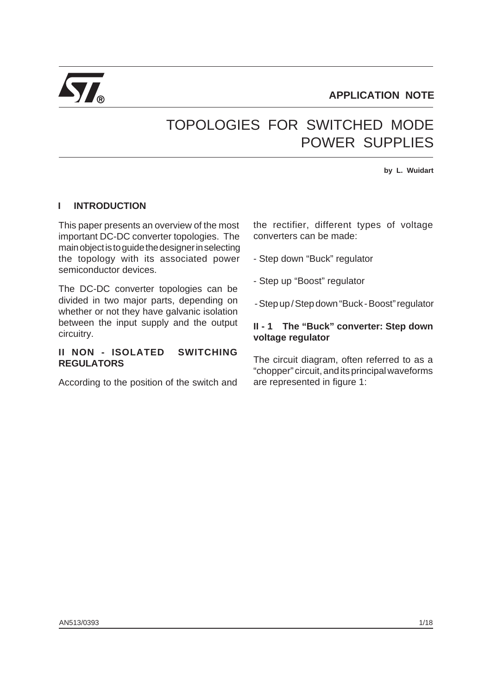

# TOPOLOGIES FOR SWITCHED MODE POWER SUPPLIES

**by L. Wuidart**

# **I INTRODUCTION**

This paper presents an overview of the most important DC-DC converter topologies. The main object is to guide the designer in selecting the topology with its associated power semiconductor devices.

The DC-DC converter topologies can be divided in two major parts, depending on whether or not they have galvanic isolation between the input supply and the output circuitry.

## **II NON - ISOLATED SWITCHING REGULATORS**

According to the position of the switch and

the rectifier, different types of voltage converters can be made:

- Step down "Buck" regulator

- Step up "Boost" regulator

- Step up / Step down "Buck - Boost" regulator

#### **II - 1 The "Buck" converter: Step down voltage regulator**

The circuit diagram, often referred to as a "chopper" circuit, and its principal waveforms are represented in figure 1: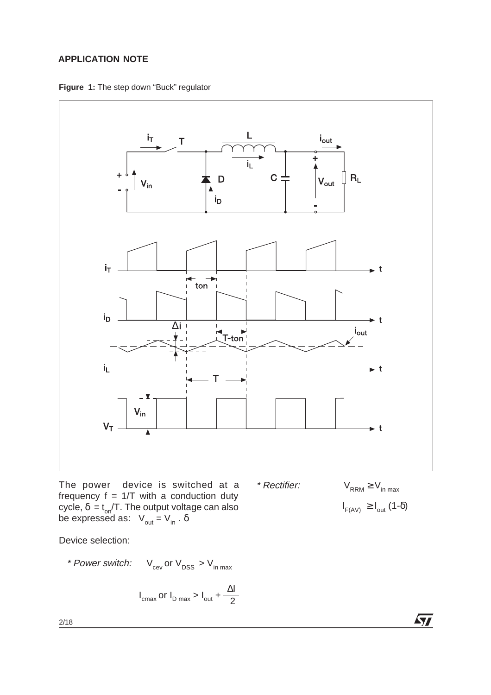



The power device is switched at a frequency  $f = 1/T$  with a conduction duty cycle,  $δ = t_{on}/T$ . The output voltage can also be expressed as:  $V_{\text{out}} = V_{\text{in}}$ .  $\delta$ 

Device selection:

\* Power switch: 
$$
V_{\text{cev}}
$$
 or  $V_{\text{DSS}} > V_{\text{in max}}$ 

$$
I_{\text{cmax}} \text{ or } I_{\text{D max}} > I_{\text{out}} + \frac{\Delta I}{2}
$$

 $I_{F(AV)} \geq I_{out}$  (1- $\delta$ )

 $\sqrt{2}$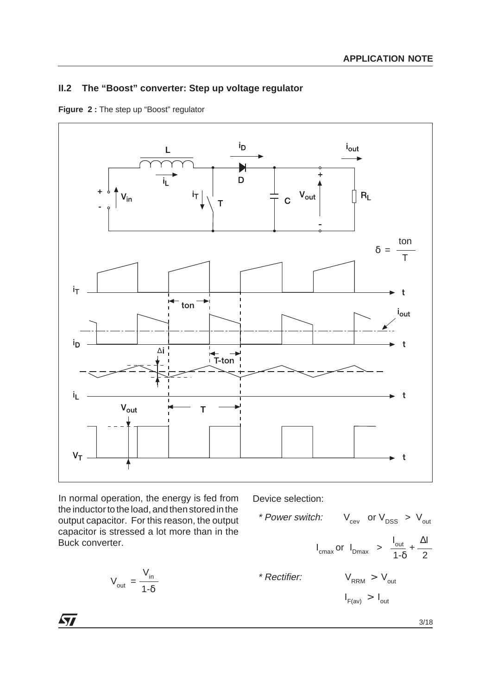# **II.2 The "Boost" converter: Step up voltage regulator**





In normal operation, the energy is fed from the inductor to the load, and then stored in the output capacitor. For this reason, the output capacitor is stressed a lot more than in the Buck converter.

$$
V_{\text{out}} = \frac{V_{\text{in}}}{1 - \delta}
$$

Device selection:

\* Power switch: 
$$
V_{cev}
$$
 or  $V_{DSS} > V_{out}$ 

\n
$$
I_{cmax} \text{ or } I_{Dmax} > \frac{I_{out}}{1-\delta} + \frac{\Delta I}{2}
$$
\n\* Rectifier:  $V_{RRM} > V_{out}$ 

\n
$$
I_{F(av)} > I_{out}
$$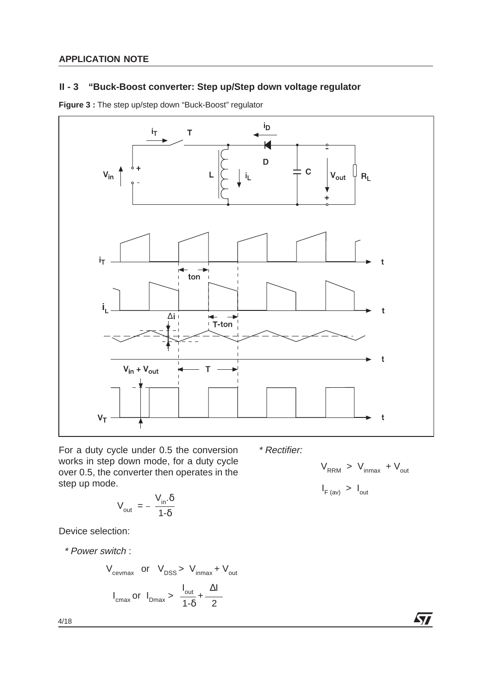# **II - 3 "Buck-Boost converter: Step up/Step down voltage regulator**

**Figure 3 :** The step up/step down "Buck-Boost" regulator



For a duty cycle under 0.5 the conversion works in step down mode, for a duty cycle over 0.5, the converter then operates in the step up mode.

$$
V_{\text{out}} = -\frac{V_{\text{in}}.\delta}{1-\delta}
$$

Device selection:

\* Power switch :

$$
V_{\text{cevmax}}
$$
 or  $V_{\text{DSS}} > V_{\text{inmax}} + V_{\text{out}}$   
 $I_{\text{cmax}}$  or  $I_{\text{Dmax}} > \frac{I_{\text{out}}}{1-\delta} + \frac{\Delta I}{2}$ 

\* Rectifier:

$$
V_{RRM} > V_{inmax} + V_{out}
$$
  

$$
I_{F (av)} > I_{out}
$$

 $\sqrt{27}$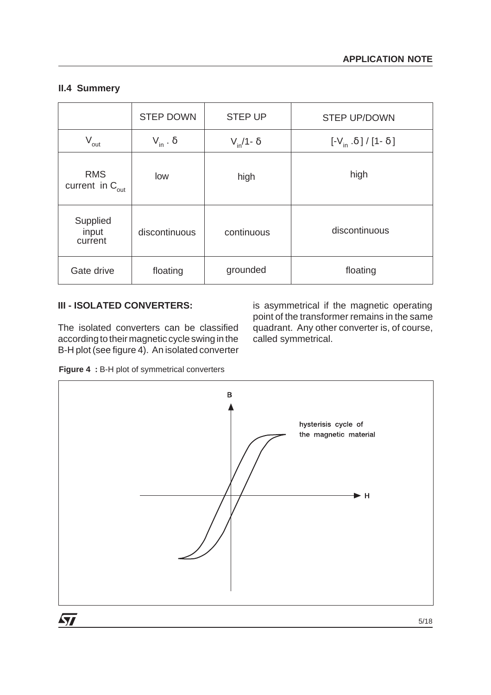## **II.4 Summery**

|                                       | <b>STEP DOWN</b>    | <b>STEP UP</b>      | <b>STEP UP/DOWN</b>                                                |
|---------------------------------------|---------------------|---------------------|--------------------------------------------------------------------|
| $V_{\text{out}}$                      | $V_{in}$ . $\delta$ | $V_{in}/1 - \delta$ | $\left[-V_{\text{in}} \cdot \delta\right] / \left[1-\delta\right]$ |
| <b>RMS</b><br>current in $C_{_{out}}$ | low                 | high                | high                                                               |
| Supplied<br>input<br>current          | discontinuous       | continuous          | discontinuous                                                      |
| Gate drive                            | floating            | grounded            | floating                                                           |

# **III - ISOLATED CONVERTERS:**

The isolated converters can be classified according to their magnetic cycle swing in the B-H plot (see figure 4). An isolated converter

is asymmetrical if the magnetic operating point of the transformer remains in the same quadrant. Any other converter is, of course, called symmetrical.

**Figure 4 :** B-H plot of symmetrical converters

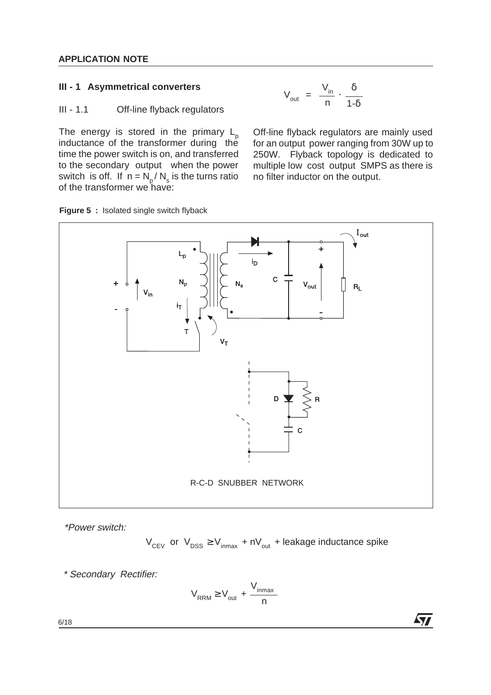## **III - 1 Asymmetrical converters**

$$
V_{out} = \frac{V_{in}}{n} \cdot \frac{\delta}{1-\delta}
$$

#### III - 1.1 Off-line flyback regulators

The energy is stored in the primary  $L_p$ inductance of the transformer during the time the power switch is on, and transferred to the secondary output when the power switch is off. If  $n = N_p / N_s$  is the turns ratio of the transformer we have:





\*Power switch:

 $V_{CEV}$  or  $V_{DSS} \ge V_{inmax} + nV_{out} +$  leakage inductance spike

**AV** 

\* Secondary Rectifier:

$$
V_{RRM} \geq V_{out} + \frac{V_{inmax}}{n}
$$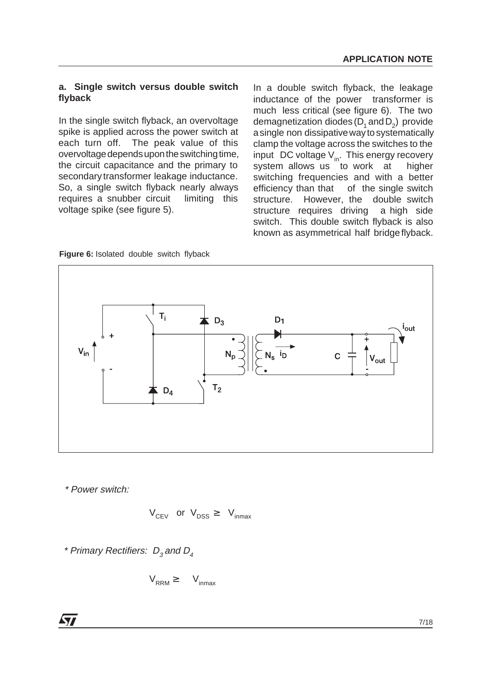#### **a. Single switch versus double switch flyback**

In the single switch flyback, an overvoltage spike is applied across the power switch at each turn off. The peak value of this overvoltage depends upon the switching time, the circuit capacitance and the primary to secondary transformer leakage inductance. So, a single switch flyback nearly always requires a snubber circuit limiting this voltage spike (see figure 5).

In a double switch flyback, the leakage inductance of the power transformer is much less critical (see figure 6). The two demagnetization diodes  $(D_1 \text{ and } D_2)$  provide a single non dissipative way to systematically clamp the voltage across the switches to the input DC voltage  $V_{in}$ . This energy recovery system allows us to work at higher system allows us to work at switching frequencies and with a better efficiency than that of the single switch structure. However, the double switch structure requires driving a high side switch. This double switch flyback is also known as asymmetrical half bridge flyback.



**Figure 6:** Isolated double switch flyback

\* Power switch:

$$
V_{CEV}
$$
 or  $V_{DSS} \geq V_{inmax}$ 

\* Primary Rectifiers:  $D_3$  and  $D_4$ 

$$
V_{RRM} \geq V_{inmax}
$$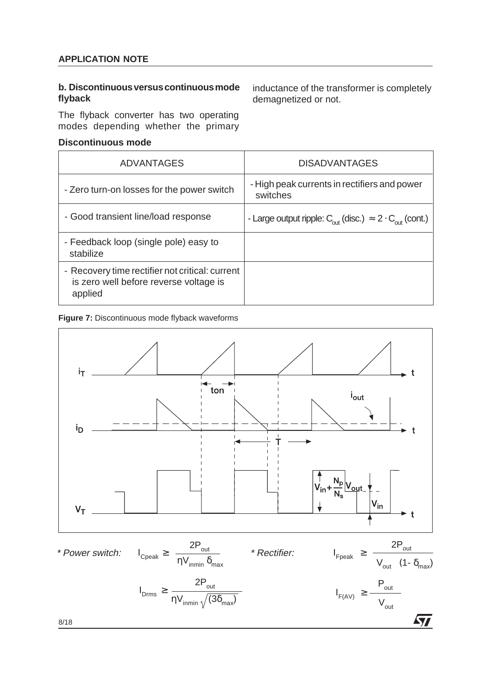#### **b. Discontinuous versus continuous mode flyback**

The flyback converter has two operating modes depending whether the primary

#### **Discontinuous mode**

inductance of the transformer is completely demagnetized or not.

| ADVANTAGES                                                                                           | <b>DISADVANTAGES</b>                                                                     |
|------------------------------------------------------------------------------------------------------|------------------------------------------------------------------------------------------|
| - Zero turn-on losses for the power switch                                                           | - High peak currents in rectifiers and power<br>switches                                 |
| - Good transient line/load response                                                                  | - Large output ripple: $C_{\text{out}}$ (disc.) $\approx 2 \cdot C_{\text{out}}$ (cont.) |
| - Feedback loop (single pole) easy to<br>stabilize                                                   |                                                                                          |
| - Recovery time rectifier not critical: current<br>is zero well before reverse voltage is<br>applied |                                                                                          |

#### **Figure 7:** Discontinuous mode flyback waveforms

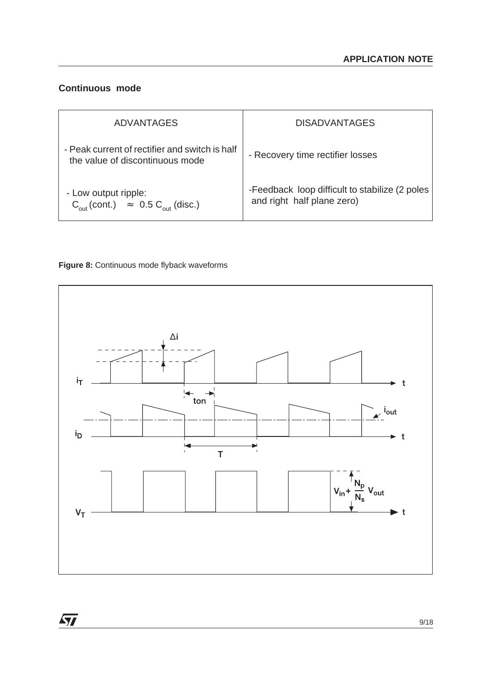# **Continuous mode**

 $\sqrt{27}$ 

| <b>ADVANTAGES</b>                                                                       | <b>DISADVANTAGES</b>                                                         |
|-----------------------------------------------------------------------------------------|------------------------------------------------------------------------------|
| - Peak current of rectifier and switch is half<br>the value of discontinuous mode       | - Recovery time rectifier losses                                             |
| - Low output ripple:<br>$C_{\text{out}}$ (cont.) $\approx$ 0.5 $C_{\text{out}}$ (disc.) | -Feedback loop difficult to stabilize (2 poles<br>and right half plane zero) |



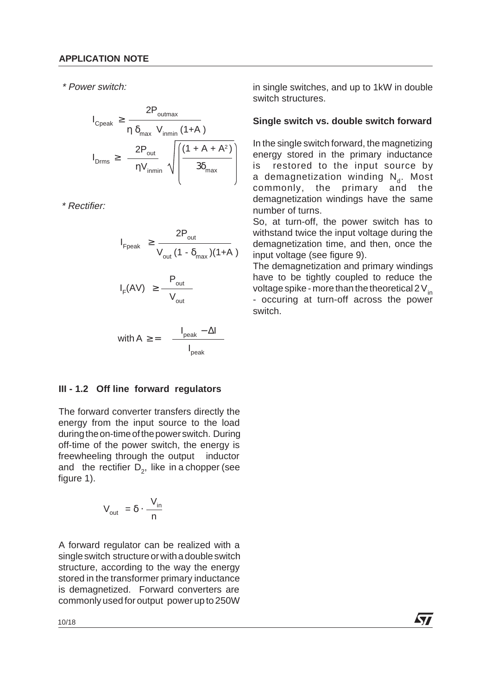\* Power switch:

$$
I_{\text{Cpeak}} \ge \frac{2P_{\text{outmax}}}{\eta \ \delta_{\text{max}} \ V_{\text{inmin}} \ (1+A)}
$$
  

$$
I_{\text{Drms}} \ge \frac{2P_{\text{out}}}{\eta V_{\text{inmin}}} \sqrt{\left(\frac{(1+A+A^2)}{3\delta_{\text{max}}}\right)}
$$

\* Rectifier:

$$
I_{\text{Fpeak}} \geq \frac{2P_{\text{out}}}{V_{\text{out}} (1 - \delta_{\text{max}})(1+A)}
$$

$$
I_F(AV) \geq \frac{P_{out}}{V_{out}}
$$

$$
\text{with } A \geq \text{ } = \text{ } \text{ } \frac{I_{\text{peak}} - \Delta I}{I_{\text{peak}}}
$$

# **III - 1.2 Off line forward regulators**

The forward converter transfers directly the energy from the input source to the load during the on-time of the power switch. During off-time of the power switch, the energy is freewheeling through the output inductor and the rectifier  $D_{2}$ , like in a chopper (see figure 1).

$$
V_{\text{out}} = \delta \cdot \frac{V_{\text{in}}}{n}
$$

A forward regulator can be realized with a single switch structure or with a double switch structure, according to the way the energy stored in the transformer primary inductance is demagnetized. Forward converters are commonly used for output power up to 250W in single switches, and up to 1kW in double switch structures.

## **Single switch vs. double switch forward**

In the single switch forward, the magnetizing energy stored in the primary inductance is restored to the input source by a demagnetization winding  $N_a$ . Most commonly, the primary and the demagnetization windings have the same number of turns.

So, at turn-off, the power switch has to withstand twice the input voltage during the demagnetization time, and then, once the input voltage (see figure 9).

The demagnetization and primary windings have to be tightly coupled to reduce the voltage spike - more than the theoretical 2  $V_{in}$ - occuring at turn-off across the power switch.

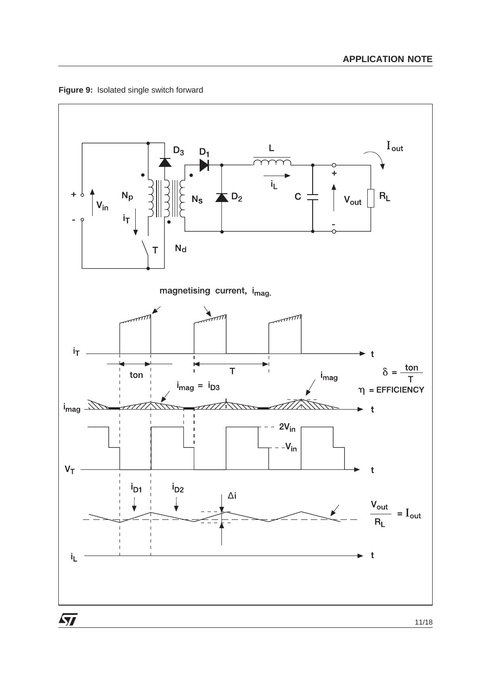

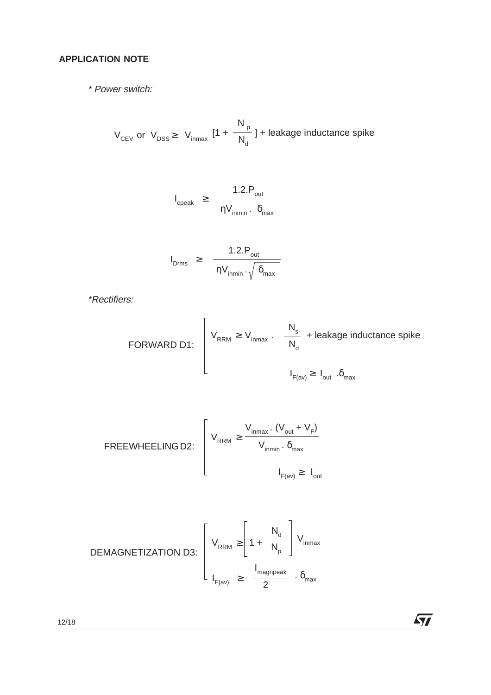\* Power switch:

 $[1 + \frac{1}{\sqrt{1}}]$  + leakage inductance spike  $N_{p}$  $V_{CEV}$  or  $V_{DSS} \geq V_{inmax}$   $1 + \frac{1}{N_d}$ 

$$
I_{\text{cpeak}} \geq \frac{1.2 \cdot P_{\text{out}}}{\eta V_{\text{inmin}} \cdot \delta_{\text{max}}}
$$

$$
I_{\text{Drms}} \geq \frac{1.2.P_{\text{out}}}{\eta V_{\text{inmin}} \cdot \sqrt{\delta_{\text{max}}}}
$$

\*Rectifiers:

FORWARD D1:

\n
$$
\left[\n\begin{array}{ccc}\nV_{RRM} \geq V_{inmax} & \cdot & \frac{N_s}{N_d} + \text{leakage inductance spike} \\
& & I_{\text{grav}} \geq I_{\text{out}} & \delta_{\text{max}}\n\end{array}\n\right]
$$

 $\sqrt{2}$ 

FREEWHEELING D2:

\n
$$
V_{RRM} \geq \frac{V_{inmax} \cdot (V_{out} + V_{F})}{V_{inmin} \cdot \delta_{max}}
$$
\n
$$
I_{F(av)} \geq I_{out}
$$

$$
\text{DEMAGNETIZATION D3:} \begin{bmatrix} V_{\text{RRM}} \geq \left[ 1 + \frac{N_d}{N_p} \right] V_{\text{inmax}} \\ \frac{1}{N_{\text{F(av)}}} \geq \frac{1}{2} \frac{N_{\text{magnpeak}}}{2} \cdot \delta_{\text{max}} \end{bmatrix}
$$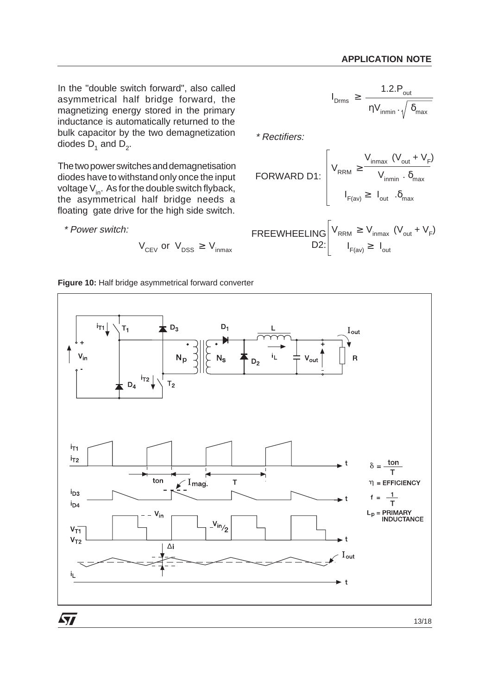In the "double switch forward", also called asymmetrical half bridge forward, the magnetizing energy stored in the primary inductance is automatically returned to the bulk capacitor by the two demagnetization diodes  $D_1$  and  $D_2$ .

The two power switches and demagnetisation diodes have to withstand only once the input voltage  $V_{in}$ . As for the double switch flyback, the asymmetrical half bridge needs a floating gate drive for the high side switch.

\* Power switch:

$$
V_{CEV}
$$
 or  $V_{DSS} \geq V_{inmax}$ 

$$
I_{\text{Drms}} \geq \frac{1.2.P_{\text{out}}}{\eta V_{\text{inmin}} \cdot \sqrt{\delta_{\text{max}}}}
$$

\* Rectifiers:

FORWARD D1:

\n
$$
V_{\text{RRM}} \geq \frac{V_{\text{inmax}} (V_{\text{out}} + V_{\text{F}})}{V_{\text{inmin}} \cdot \delta_{\text{max}}}
$$
\n
$$
I_{\text{F(av)}} \geq I_{\text{out}} \cdot \delta_{\text{max}}
$$

$$
FREEWHEELING\n\begin{bmatrix}\nV_{RRM} \ge V_{inmax} & (V_{out} + V_{F}) \\
D2: & I_{F(av)} \ge I_{out}\n\end{bmatrix}
$$



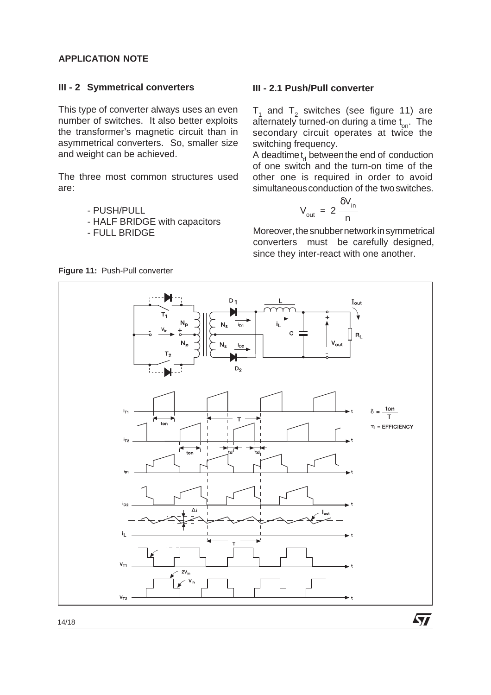#### **III - 2 Symmetrical converters**

This type of converter always uses an even number of switches. It also better exploits the transformer's magnetic circuit than in asymmetrical converters. So, smaller size and weight can be achieved.

The three most common structures used are:

- PUSH/PULL
- HALF BRIDGE with capacitors
- FULL BRIDGE

## **III - 2.1 Push/Pull converter**

 $T_1$  and  $T_2$  switches (see figure 11) are alternately turned-on during a time  $t_{on}$ . The secondary circuit operates at twice the switching frequency.

A deadtime  $t_d$  between the end of conduction of one switch and the turn-on time of the other one is required in order to avoid simultaneous conduction of the two switches.

$$
V_{\text{out}} = 2 \frac{\delta V_{\text{in}}}{n}
$$

Moreover, the snubber network in symmetrical converters must be carefully designed, since they inter-react with one another.

**Ayy** 



**Figure 11:** Push-Pull converter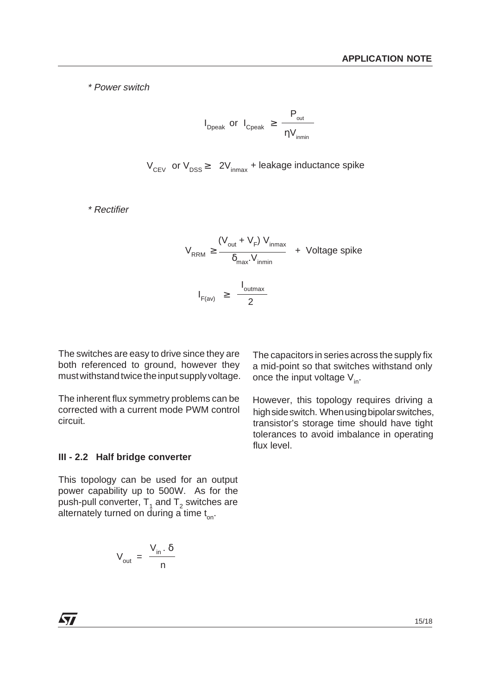\* Power switch

$$
I_{\text{Dpeak}} \text{ or } I_{\text{Cpeak}} \geq \frac{P_{\text{out}}}{\eta V_{\text{inmin}}}
$$

 $V_{CEV}$  or  $V_{DSS} \geq 2V_{inmax}$  + leakage inductance spike

\* Rectifier

$$
V_{RRM} \ge \frac{(V_{out} + V_F) V_{inmax}}{\delta_{max} V_{inmin}} + \text{ Voltage spike}
$$
  

$$
I_{F(av)} \ge \frac{I_{outmax}}{2}
$$

The switches are easy to drive since they are both referenced to ground, however they must withstand twice the input supply voltage.

The inherent flux symmetry problems can be corrected with a current mode PWM control circuit.

The capacitors in series across the supply fix a mid-point so that switches withstand only once the input voltage  $V_{in}$ .

However, this topology requires driving a high side switch. When using bipolar switches, transistor's storage time should have tight tolerances to avoid imbalance in operating flux level.

#### **III - 2.2 Half bridge converter**

This topology can be used for an output power capability up to 500W. As for the push-pull converter,  $T_1$  and  $T_2$  switches are alternately turned on during a time  $t_{on}$ .

$$
V_{\text{out}} = \frac{V_{\text{in}} \cdot \delta}{n}
$$

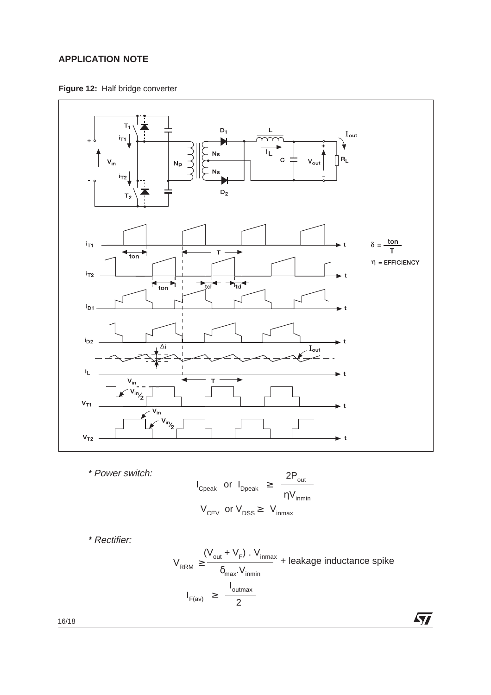**Figure 12:** Half bridge converter



$$
I_{\text{Cpeak}} \text{ or } I_{\text{Dpeak}} \ge \frac{2P_{\text{out}}}{\eta V_{\text{inmin}}}
$$
  

$$
V_{\text{CEV}} \text{ or } V_{\text{DSS}} \ge V_{\text{inmax}}
$$

\* Rectifier:

\* Power switch:

$$
V_{RRM} \ge \frac{(V_{out} + V_F) \cdot V_{inmax}}{\delta_{max} \cdot V_{inmin}} + \text{leakage inductance spike}
$$
\n
$$
I_{F(av)} \ge \frac{I_{outmax}}{2}
$$

 $\sqrt{2}$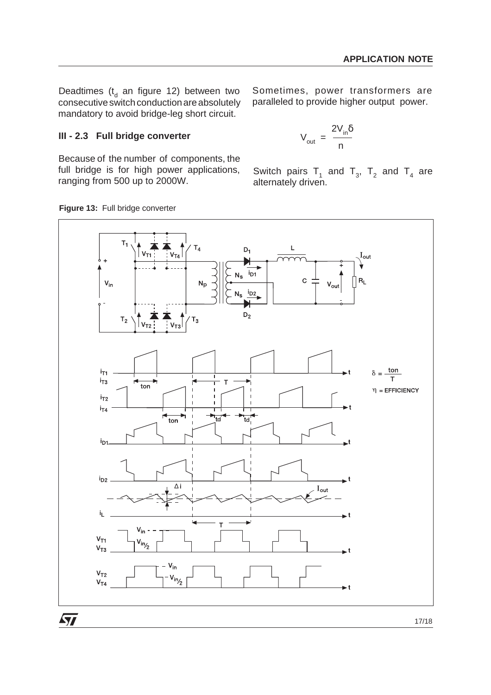Deadtimes ( $t_d$  an figure 12) between two consecutive switch conduction are absolutely mandatory to avoid bridge-leg short circuit.

Sometimes, power transformers are paralleled to provide higher output power.

## **III - 2.3 Full bridge converter**

Because of the number of components, the full bridge is for high power applications, ranging from 500 up to 2000W.

$$
V_{\text{out}} = \frac{2V_{\text{in}}\delta}{n}
$$

Switch pairs  $T_1$  and  $T_3$ ,  $T_2$  and  $T_4$  are alternately driven.



#### **Figure 13:** Full bridge converter